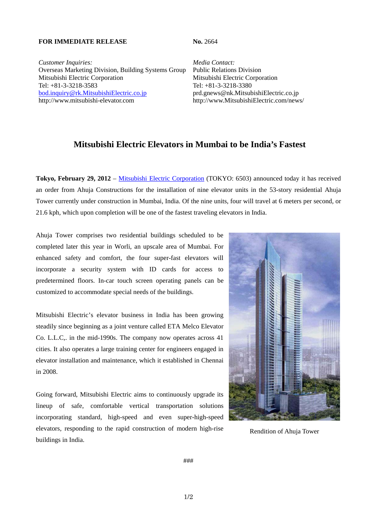## **FOR IMMEDIATE RELEASE No. 2664**

*Customer Inquiries: Media Contact:* Overseas Marketing Division, Building Systems Group Public Relations Division Mitsubishi Electric Corporation Mitsubishi Electric Corporation Tel: +81-3-3218-3583 Tel: +81-3-3218-3380 bod.inquiry@rk.MitsubishiElectric.co.jp prd.gnews@nk.MitsubishiElectric.co.jp http://www.mitsubishi-elevator.com http://www.MitsubishiElectric.com/news/

## **Mitsubishi Electric Elevators in Mumbai to be India's Fastest**

**Tokyo, February 29, 2012** – Mitsubishi Electric Corporation (TOKYO: 6503) announced today it has received an order from Ahuja Constructions for the installation of nine elevator units in the 53-story residential Ahuja Tower currently under construction in Mumbai, India. Of the nine units, four will travel at 6 meters per second, or 21.6 kph, which upon completion will be one of the fastest traveling elevators in India.

Ahuja Tower comprises two residential buildings scheduled to be completed later this year in Worli, an upscale area of Mumbai. For enhanced safety and comfort, the four super-fast elevators will incorporate a security system with ID cards for access to predetermined floors. In-car touch screen operating panels can be customized to accommodate special needs of the buildings.

Mitsubishi Electric's elevator business in India has been growing steadily since beginning as a joint venture called ETA Melco Elevator Co. L.L.C,. in the mid-1990s. The company now operates across 41 cities. It also operates a large training center for engineers engaged in elevator installation and maintenance, which it established in Chennai in 2008.

Going forward, Mitsubishi Electric aims to continuously upgrade its lineup of safe, comfortable vertical transportation solutions incorporating standard, high-speed and even super-high-speed elevators, responding to the rapid construction of modern high-rise buildings in India.



Rendition of Ahuja Tower

###